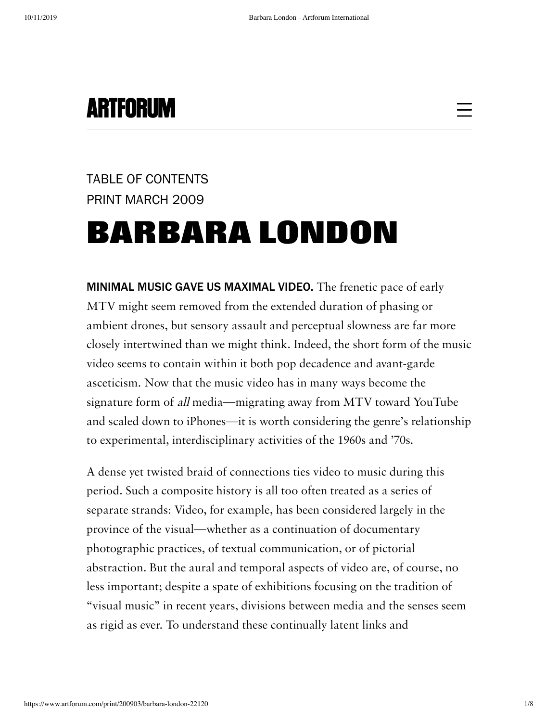

## [TABLE OF CONTENTS](https://www.artforum.com/print/200903) [PRINT MARCH 2009](https://www.artforum.com/print/200903)

# [BARBARA LONDON](https://www.artforum.com/print/200903/barbara-london-22120)

MINIMAL MUSIC GAVE US MAXIMAL VIDEO. The frenetic pace of early MTV might seem removed from the extended duration of phasing or ambient drones, but sensory assault and perceptual slowness are far more closely intertwined than we might think. Indeed, the short form of the music video seems to contain within it both pop decadence and avant-garde asceticism. Now that the music video has in many ways become the signature form of all media—migrating away from MTV toward YouTube and scaled down to iPhones—it is worth considering the genre's relationship to experimental, interdisciplinary activities of the 1960s and '70s.

A dense yet twisted braid of connections ties video to music during this period. Such a composite history is all too often treated as a series of separate strands: Video, for example, has been considered largely in the province of the visual—whether as a continuation of documentary photographic practices, of textual communication, or of pictorial abstraction. But the aural and temporal aspects of video are, of course, no less important; despite a spate of exhibitions focusing on the tradition of "visual music" in recent years, divisions between media and the senses seem as rigid as ever. To understand these continually latent links and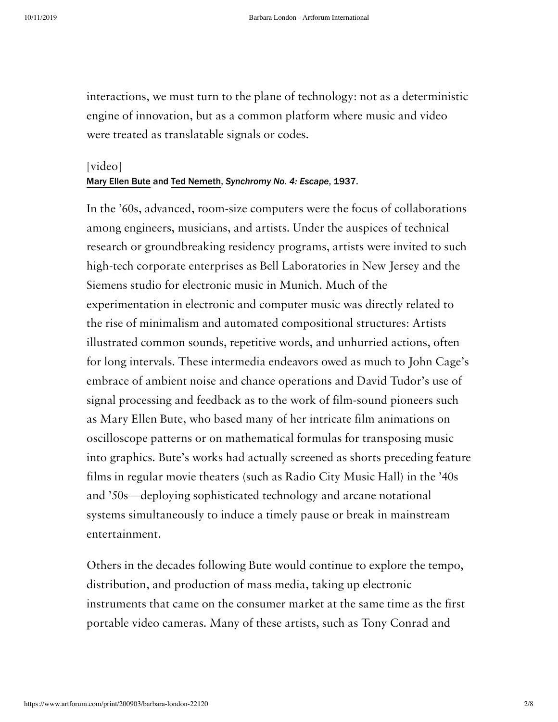interactions, we must turn to the plane of technology: not as a deterministic engine of innovation, but as a common platform where music and video were treated as translatable signals or codes.

### [Mary Ellen Bute](https://www.artforum.com/contributor/mary-ellen-bute) and [Ted Nemeth,](https://www.artforum.com/contributor/ted-nemeth) Synchromy No. 4: Escape, 1937. [video]

In the '60s, advanced, room-size computers were the focus of collaborations among engineers, musicians, and artists. Under the auspices of technical research or groundbreaking residency programs, artists were invited to such high-tech corporate enterprises as Bell Laboratories in New Jersey and the Siemens studio for electronic music in Munich. Much of the experimentation in electronic and computer music was directly related to the rise of minimalism and automated compositional structures: Artists illustrated common sounds, repetitive words, and unhurried actions, often for long intervals. These intermedia endeavors owed as much to John Cage's embrace of ambient noise and chance operations and David Tudor's use of signal processing and feedback as to the work of film-sound pioneers such as Mary Ellen Bute, who based many of her intricate film animations on oscilloscope patterns or on mathematical formulas for transposing music into graphics. Bute's works had actually screened as shorts preceding feature films in regular movie theaters (such as Radio City Music Hall) in the '40s and '50s—deploying sophisticated technology and arcane notational systems simultaneously to induce a timely pause or break in mainstream entertainment.

Others in the decades following Bute would continue to explore the tempo, distribution, and production of mass media, taking up electronic instruments that came on the consumer market at the same time as the first portable video cameras. Many of these artists, such as Tony Conrad and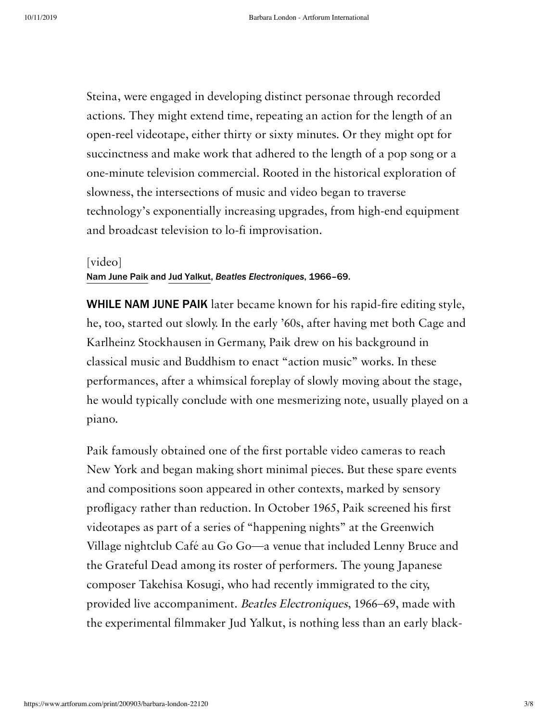Steina, were engaged in developing distinct personae through recorded actions. They might extend time, repeating an action for the length of an open-reel videotape, either thirty or sixty minutes. Or they might opt for succinctness and make work that adhered to the length of a pop song or a one-minute television commercial. Rooted in the historical exploration of slowness, the intersections of music and video began to traverse technology's exponentially increasing upgrades, from high-end equipment and broadcast television to lo-fi improvisation.

#### [video]

#### [Nam June Paik](https://www.artforum.com/contributor/nam-june-paik) and [Jud Yalkut](https://www.artforum.com/contributor/jud-yalkut), Beatles Electroniques, 1966–69.

WHILE NAM JUNE PAIK later became known for his rapid-fire editing style, he, too, started out slowly. In the early '60s, after having met both Cage and Karlheinz Stockhausen in Germany, Paik drew on his background in classical music and Buddhism to enact "action music" works. In these performances, after a whimsical foreplay of slowly moving about the stage, he would typically conclude with one mesmerizing note, usually played on a piano.

Paik famously obtained one of the first portable video cameras to reach New York and began making short minimal pieces. But these spare events and compositions soon appeared in other contexts, marked by sensory profligacy rather than reduction. In October 1965, Paik screened his first videotapes as part of a series of "happening nights" at the Greenwich Village nightclub Café au Go Go—a venue that included Lenny Bruce and the Grateful Dead among its roster of performers. The young Japanese composer Takehisa Kosugi, who had recently immigrated to the city, provided live accompaniment. Beatles Electroniques, 1966–69, made with the experimental filmmaker Jud Yalkut, is nothing less than an early black-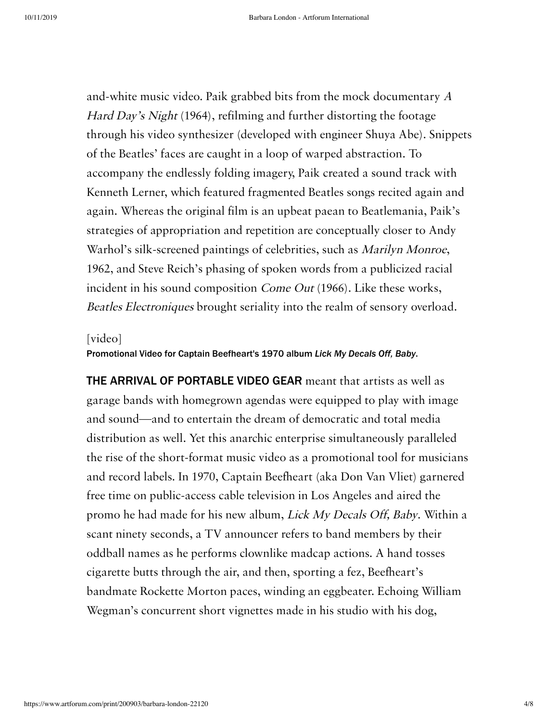and-white music video. Paik grabbed bits from the mock documentary <sup>A</sup> Hard Day's Night (1964), refilming and further distorting the footage through his video synthesizer (developed with engineer Shuya Abe). Snippets of the Beatles' faces are caught in a loop of warped abstraction. To accompany the endlessly folding imagery, Paik created a sound track with Kenneth Lerner, which featured fragmented Beatles songs recited again and again. Whereas the original film is an upbeat paean to Beatlemania, Paik's strategies of appropriation and repetition are conceptually closer to Andy Warhol's silk-screened paintings of celebrities, such as Marilyn Monroe, 1962, and Steve Reich's phasing of spoken words from a publicized racial incident in his sound composition *Come Out* (1966). Like these works, Beatles Electroniques brought seriality into the realm of sensory overload.

#### [video]

Promotional Video for Captain Beefheart's 1970 album Lick My Decals Off, Baby.

THE ARRIVAL OF PORTABLE VIDEO GEAR meant that artists as well as garage bands with homegrown agendas were equipped to play with image and sound—and to entertain the dream of democratic and total media distribution as well. Yet this anarchic enterprise simultaneously paralleled the rise of the short-format music video as a promotional tool for musicians and record labels. In 1970, Captain Beefheart (aka Don Van Vliet) garnered free time on public-access cable television in Los Angeles and aired the promo he had made for his new album, Lick My Decals Off, Baby. Within a scant ninety seconds, a TV announcer refers to band members by their oddball names as he performs clownlike madcap actions. A hand tosses cigarette butts through the air, and then, sporting a fez, Beefheart's bandmate Rockette Morton paces, winding an eggbeater. Echoing William Wegman's concurrent short vignettes made in his studio with his dog,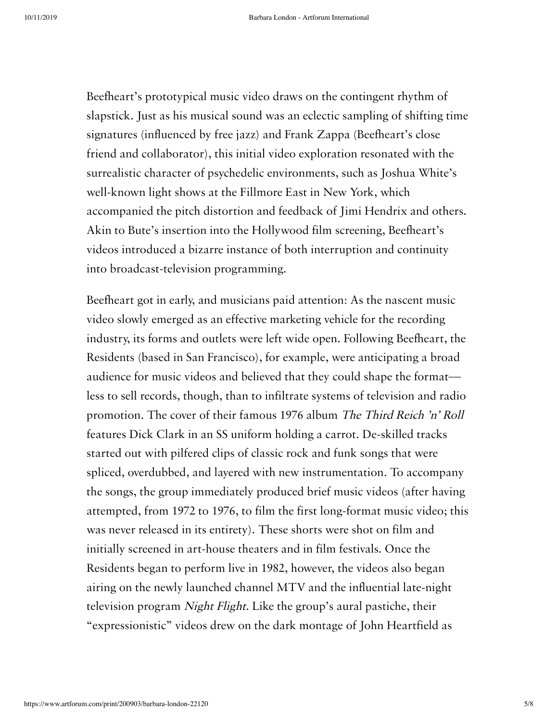Beefheart's prototypical music video draws on the contingent rhythm of slapstick. Just as his musical sound was an eclectic sampling of shifting time signatures (influenced by free jazz) and Frank Zappa (Beefheart's close friend and collaborator), this initial video exploration resonated with the surrealistic character of psychedelic environments, such as Joshua White's well-known light shows at the Fillmore East in New York, which accompanied the pitch distortion and feedback of Jimi Hendrix and others. Akin to Bute's insertion into the Hollywood film screening, Beefheart's videos introduced a bizarre instance of both interruption and continuity into broadcast-television programming.

Beefheart got in early, and musicians paid attention: As the nascent music video slowly emerged as an effective marketing vehicle for the recording industry, its forms and outlets were left wide open. Following Beefheart, the Residents (based in San Francisco), for example, were anticipating a broad audience for music videos and believed that they could shape the format less to sell records, though, than to infiltrate systems of television and radio promotion. The cover of their famous 1976 album The Third Reich 'n' Roll features Dick Clark in an SS uniform holding a carrot. De-skilled tracks started out with pilfered clips of classic rock and funk songs that were spliced, overdubbed, and layered with new instrumentation. To accompany the songs, the group immediately produced brief music videos (after having attempted, from 1972 to 1976, to film the first long-format music video; this was never released in its entirety). These shorts were shot on film and initially screened in art-house theaters and in film festivals. Once the Residents began to perform live in 1982, however, the videos also began airing on the newly launched channel MTV and the influential late-night television program Night Flight. Like the group's aural pastiche, their "expressionistic" videos drew on the dark montage of John Heartfield as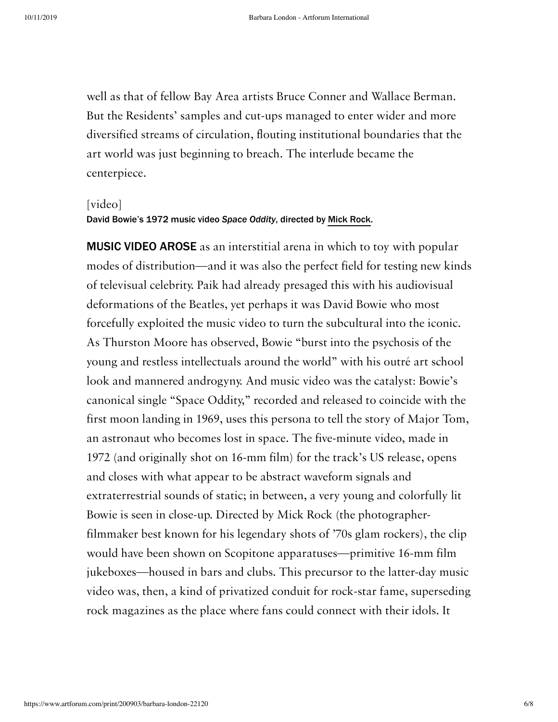well as that of fellow Bay Area artists Bruce Conner and Wallace Berman. But the Residents' samples and cut-ups managed to enter wider and more diversified streams of circulation, flouting institutional boundaries that the art world was just beginning to breach. The interlude became the centerpiece.

#### [video]

#### David Bowie's 1972 music video Space Oddity, directed by [Mick Rock.](https://www.artforum.com/contributor/mick-rock)

MUSIC VIDEO AROSE as an interstitial arena in which to toy with popular modes of distribution—and it was also the perfect field for testing new kinds of televisual celebrity. Paik had already presaged this with his audiovisual deformations of the Beatles, yet perhaps it was David Bowie who most forcefully exploited the music video to turn the subcultural into the iconic. As Thurston Moore has observed, Bowie "burst into the psychosis of the young and restless intellectuals around the world" with his outré art school look and mannered androgyny. And music video was the catalyst: Bowie's canonical single "Space Oddity," recorded and released to coincide with the first moon landing in 1969, uses this persona to tell the story of Major Tom, an astronaut who becomes lost in space. The five-minute video, made in 1972 (and originally shot on 16-mm film) for the track's US release, opens and closes with what appear to be abstract waveform signals and extraterrestrial sounds of static; in between, a very young and colorfully lit Bowie is seen in close-up. Directed by Mick Rock (the photographerfilmmaker best known for his legendary shots of '70s glam rockers), the clip would have been shown on Scopitone apparatuses—primitive 16-mm film jukeboxes—housed in bars and clubs. This precursor to the latter-day music video was, then, a kind of privatized conduit for rock-star fame, superseding rock magazines as the place where fans could connect with their idols. It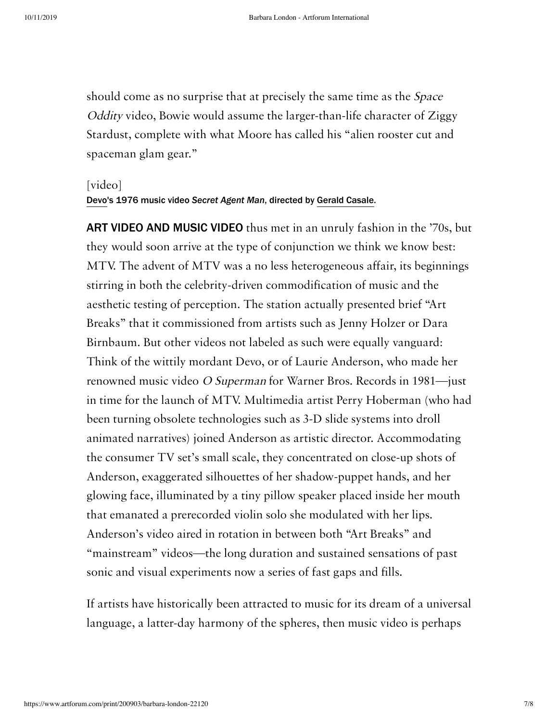should come as no surprise that at precisely the same time as the Space Oddity video, Bowie would assume the larger-than-life character of Ziggy Stardust, complete with what Moore has called his "alien rooster cut and spaceman glam gear."

#### [video]

#### [Devo](https://www.artforum.com/contributor/devo)'s 1976 music video Secret Agent Man, directed by [Gerald Casale.](https://www.artforum.com/contributor/gerald-casale)

ART VIDEO AND MUSIC VIDEO thus met in an unruly fashion in the '70s, but they would soon arrive at the type of conjunction we think we know best: MTV. The advent of MTV was a no less heterogeneous affair, its beginnings stirring in both the celebrity-driven commodification of music and the aesthetic testing of perception. The station actually presented brief "Art Breaks" that it commissioned from artists such as Jenny Holzer or Dara Birnbaum. But other videos not labeled as such were equally vanguard: Think of the wittily mordant Devo, or of Laurie Anderson, who made her renowned music video <sup>O</sup> Superman for Warner Bros. Records in 1981—just in time for the launch of MTV. Multimedia artist Perry Hoberman (who had been turning obsolete technologies such as 3-D slide systems into droll animated narratives) joined Anderson as artistic director. Accommodating the consumer TV set's small scale, they concentrated on close-up shots of Anderson, exaggerated silhouettes of her shadow-puppet hands, and her glowing face, illuminated by a tiny pillow speaker placed inside her mouth that emanated a prerecorded violin solo she modulated with her lips. Anderson's video aired in rotation in between both "Art Breaks" and "mainstream" videos—the long duration and sustained sensations of past sonic and visual experiments now a series of fast gaps and fills.

If artists have historically been attracted to music for its dream of a universal language, a latter-day harmony of the spheres, then music video is perhaps